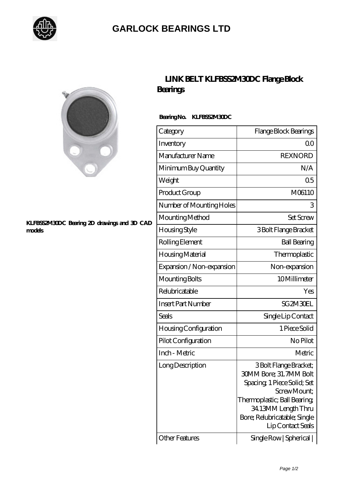

## **[GARLOCK BEARINGS LTD](https://m.letterstopriests.com)**



#### **[KLFBSS2M30DC Bearing 2D drawings and 3D CAD](https://m.letterstopriests.com/pic-188914.html) [models](https://m.letterstopriests.com/pic-188914.html)**

## **[LINK BELT KLFBSS2M30DC Flange Block](https://m.letterstopriests.com/aI-188914-link-belt-klfbss2m30dc-flange-block-bearings.html) [Bearings](https://m.letterstopriests.com/aI-188914-link-belt-klfbss2m30dc-flange-block-bearings.html)**

### **Bearing No. KLFBSS2M30DC**

| Category                     | Flange Block Bearings                                                                                                                                                                                              |
|------------------------------|--------------------------------------------------------------------------------------------------------------------------------------------------------------------------------------------------------------------|
| Inventory                    | 0 <sup>0</sup>                                                                                                                                                                                                     |
| Manufacturer Name            | <b>REXNORD</b>                                                                                                                                                                                                     |
| Minimum Buy Quantity         | N/A                                                                                                                                                                                                                |
| Weight                       | 0 <sub>5</sub>                                                                                                                                                                                                     |
| Product Group                | M06110                                                                                                                                                                                                             |
| Number of Mounting Holes     | 3                                                                                                                                                                                                                  |
| Mounting Method              | <b>Set Screw</b>                                                                                                                                                                                                   |
| Housing Style                | 3 Bolt Flange Bracket                                                                                                                                                                                              |
| Rolling Element              | <b>Ball Bearing</b>                                                                                                                                                                                                |
| Housing Material             | Thermoplastic                                                                                                                                                                                                      |
| Expansion / Non-expansion    | Non-expansion                                                                                                                                                                                                      |
| Mounting Bolts               | 10Millimeter                                                                                                                                                                                                       |
| Relubricatable               | Yes                                                                                                                                                                                                                |
| <b>Insert Part Number</b>    | SG2M3OEL                                                                                                                                                                                                           |
| Seals                        | Single Lip Contact                                                                                                                                                                                                 |
| <b>Housing Configuration</b> | 1 Piece Solid                                                                                                                                                                                                      |
| Pilot Configuration          | No Pilot                                                                                                                                                                                                           |
| Inch - Metric                | Metric                                                                                                                                                                                                             |
| Long Description             | 3 Bolt Flange Bracket;<br><b>30MM Bore; 31.7MM Bolt</b><br>Spacing, 1 Piece Solid; Set<br>Screw Mount;<br>Thermoplastic; Ball Bearing;<br>34.13MM Length Thru<br>Bore; Relubricatable; Single<br>Lip Contact Seals |
| <b>Other Features</b>        | Single Row   Spherical                                                                                                                                                                                             |